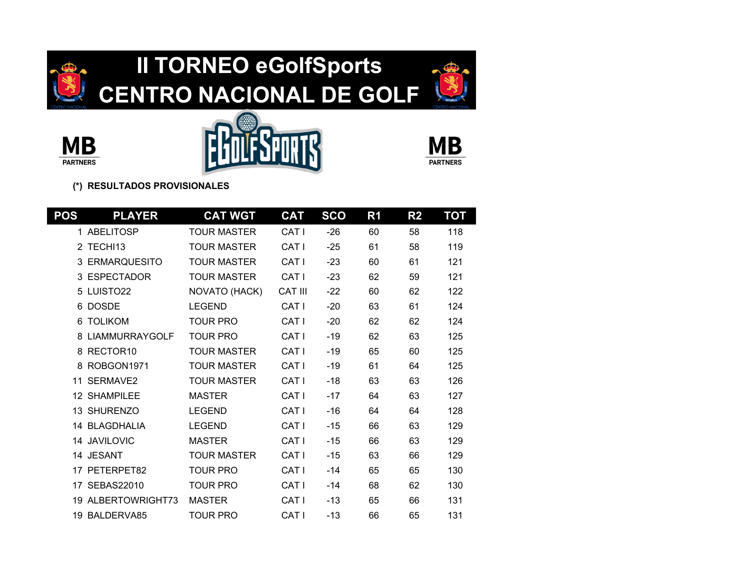









| POS | <b>PLAYER</b>         | <b>CAT WGT</b>     | <b>CAT</b>       | <b>SCO</b> | R <sub>1</sub> | R <sub>2</sub> | ТОТ |
|-----|-----------------------|--------------------|------------------|------------|----------------|----------------|-----|
|     | 1 ABELITOSP           | <b>TOUR MASTER</b> | CAT <sub>I</sub> | $-26$      | 60             | 58             | 118 |
|     | 2 TECHI13             | <b>TOUR MASTER</b> | CAT <sub>I</sub> | $-25$      | 61             | 58             | 119 |
| 3   | <b>ERMARQUESITO</b>   | <b>TOUR MASTER</b> | CAT <sub>I</sub> | $-23$      | 60             | 61             | 121 |
|     | 3 ESPECTADOR          | <b>TOUR MASTER</b> | CAT <sub>I</sub> | $-23$      | 62             | 59             | 121 |
|     | 5 LUISTO22            | NOVATO (HACK)      | <b>CAT III</b>   | $-22$      | 60             | 62             | 122 |
|     | 6 DOSDE               | <b>LEGEND</b>      | CAT I            | $-20$      | 63             | 61             | 124 |
| 6   | <b>TOLIKOM</b>        | TOUR PRO           | CAT <sub>I</sub> | $-20$      | 62             | 62             | 124 |
| 8   | <b>LIAMMURRAYGOLF</b> | TOUR PRO           | CAT <sub>I</sub> | $-19$      | 62             | 63             | 125 |
|     | 8 RECTOR10            | <b>TOUR MASTER</b> | CAT <sub>I</sub> | $-19$      | 65             | 60             | 125 |
|     | 8 ROBGON1971          | <b>TOUR MASTER</b> | CAT <sub>I</sub> | $-19$      | 61             | 64             | 125 |
|     | 11 SERMAVE2           | <b>TOUR MASTER</b> | CAT <sub>I</sub> | $-18$      | 63             | 63             | 126 |
|     | 12 SHAMPIL FF         | <b>MASTER</b>      | CAT <sub>I</sub> | $-17$      | 64             | 63             | 127 |
|     | 13 SHURENZO           | <b>LEGEND</b>      | CAT I            | $-16$      | 64             | 64             | 128 |
|     | 14 BLAGDHALIA         | <b>LEGEND</b>      | CAT <sub>I</sub> | $-15$      | 66             | 63             | 129 |
|     | 14 JAVILOVIC          | <b>MASTER</b>      | CAT I            | $-15$      | 66             | 63             | 129 |
|     | 14 JESANT             | TOUR MASTER        | CAT <sub>I</sub> | $-15$      | 63             | 66             | 129 |
|     | 17 PETERPET82         | <b>TOUR PRO</b>    | CAT <sub>I</sub> | $-14$      | 65             | 65             | 130 |
|     | 17 SEBAS22010         | <b>TOUR PRO</b>    | CAT <sub>I</sub> | $-14$      | 68             | 62             | 130 |
|     | 19 ALBERTOWRIGHT73    | <b>MASTER</b>      | CAT I            | $-13$      | 65             | 66             | 131 |
|     | 19 BALDERVA85         | <b>TOUR PRO</b>    | CAT <sub>I</sub> | $-13$      | 66             | 65             | 131 |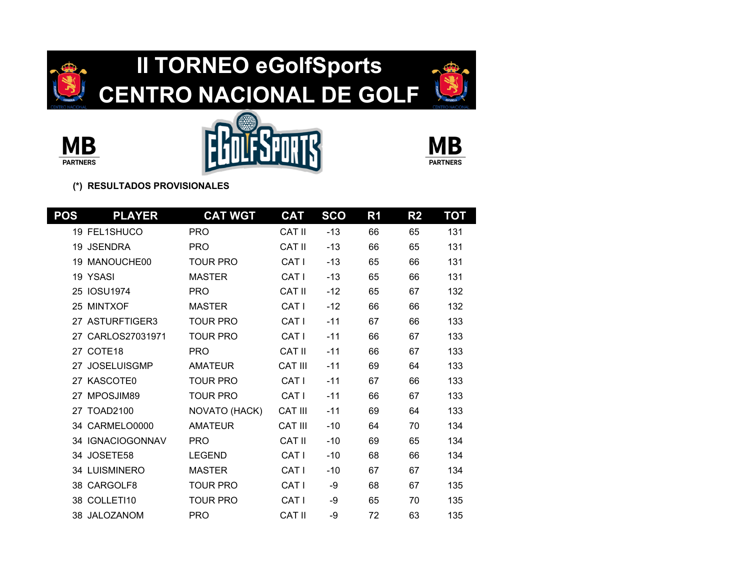









| POS | <b>PLAYER</b>        | <b>CAT WGT</b>  | <b>CAT</b>       | <b>SCO</b> | R <sub>1</sub> | R <sub>2</sub> | ТОТ |
|-----|----------------------|-----------------|------------------|------------|----------------|----------------|-----|
|     | <b>19 FEL1SHUCO</b>  | <b>PRO</b>      | <b>CAT II</b>    | $-13$      | 66             | 65             | 131 |
|     | 19 JSENDRA           | <b>PRO</b>      | CAT II           | $-13$      | 66             | 65             | 131 |
|     | 19 MANOUCHE00        | <b>TOUR PRO</b> | CAT I            | $-13$      | 65             | 66             | 131 |
|     | 19 YSASI             | <b>MASTER</b>   | CAT <sub>I</sub> | $-13$      | 65             | 66             | 131 |
|     | 25 IOSU1974          | <b>PRO</b>      | CAT II           | $-12$      | 65             | 67             | 132 |
|     | 25 MINTXOF           | <b>MASTER</b>   | CAT I            | $-12$      | 66             | 66             | 132 |
|     | 27 ASTURFTIGER3      | <b>TOUR PRO</b> | CAT <sub>I</sub> | $-11$      | 67             | 66             | 133 |
|     | 27 CARLOS27031971    | <b>TOUR PRO</b> | CAT <sub>I</sub> | $-11$      | 66             | 67             | 133 |
|     | 27 COTE18            | <b>PRO</b>      | <b>CAT II</b>    | $-11$      | 66             | 67             | 133 |
|     | 27 JOSELUISGMP       | <b>AMATEUR</b>  | <b>CAT III</b>   | $-11$      | 69             | 64             | 133 |
|     | 27 KASCOTE0          | <b>TOUR PRO</b> | CAT I            | $-11$      | 67             | 66             | 133 |
| 27  | MPOSJIM89            | <b>TOUR PRO</b> | CAT I            | $-11$      | 66             | 67             | 133 |
|     | 27 TOAD2100          | NOVATO (HACK)   | <b>CAT III</b>   | $-11$      | 69             | 64             | 133 |
|     | 34 CARMELO0000       | <b>AMATEUR</b>  | <b>CAT III</b>   | $-10$      | 64             | 70             | 134 |
|     | 34 IGNACIOGONNAV     | <b>PRO</b>      | CAT II           | $-10$      | 69             | 65             | 134 |
|     | 34 JOSETE58          | <b>LEGEND</b>   | CAT <sub>I</sub> | $-10$      | 68             | 66             | 134 |
|     | <b>34 LUISMINERO</b> | <b>MASTER</b>   | CAT <sub>I</sub> | $-10$      | 67             | 67             | 134 |
|     | 38 CARGOLF8          | <b>TOUR PRO</b> | CAT <sub>I</sub> | -9         | 68             | 67             | 135 |
|     | 38 COLLETI10         | <b>TOUR PRO</b> | CAT I            | -9         | 65             | 70             | 135 |
|     | 38 JALOZANOM         | <b>PRO</b>      | <b>CAT II</b>    | -9         | 72             | 63             | 135 |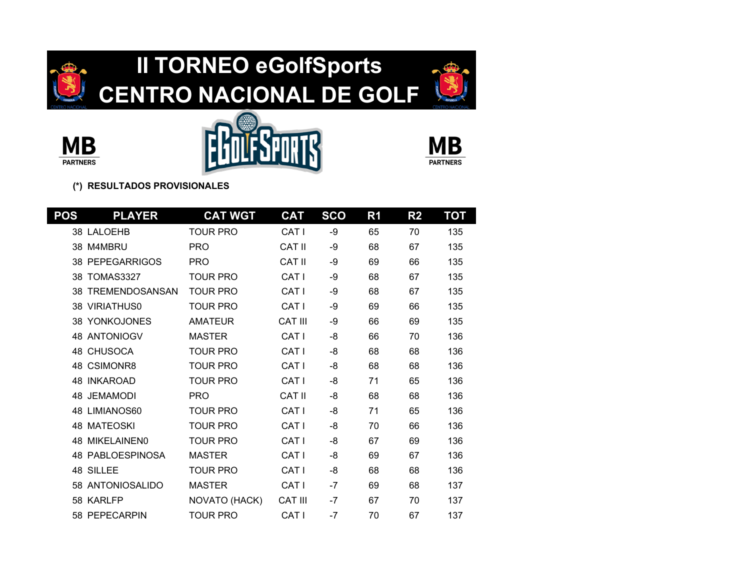









| POS | <b>PLAYER</b>            | <b>CAT WGT</b>  | <b>CAT</b>       | <b>SCO</b> | R1 | R <sub>2</sub> | ТОТ |
|-----|--------------------------|-----------------|------------------|------------|----|----------------|-----|
|     | 38 LALOEHB               | <b>TOUR PRO</b> | CAT <sub>I</sub> | -9         | 65 | 70             | 135 |
|     | 38 M4MBRU                | <b>PRO</b>      | CAT II           | -9         | 68 | 67             | 135 |
|     | <b>38 PEPEGARRIGOS</b>   | <b>PRO</b>      | CAT II           | -9         | 69 | 66             | 135 |
| 38  | TOMAS3327                | <b>TOUR PRO</b> | CAT <sub>I</sub> | -9         | 68 | 67             | 135 |
|     | <b>38 TREMENDOSANSAN</b> | <b>TOUR PRO</b> | CAT <sub>I</sub> | -9         | 68 | 67             | 135 |
|     | <b>38 VIRIATHUS0</b>     | <b>TOUR PRO</b> | CAT <sub>I</sub> | -9         | 69 | 66             | 135 |
|     | <b>38 YONKOJONES</b>     | <b>AMATEUR</b>  | <b>CAT III</b>   | -9         | 66 | 69             | 135 |
|     | <b>48 ANTONIOGV</b>      | <b>MASTER</b>   | CAT <sub>I</sub> | -8         | 66 | 70             | 136 |
|     | 48 CHUSOCA               | <b>TOUR PRO</b> | CAT <sub>I</sub> | -8         | 68 | 68             | 136 |
|     | 48 CSIMONR8              | <b>TOUR PRO</b> | CAT I            | -8         | 68 | 68             | 136 |
|     | <b>48 INKAROAD</b>       | <b>TOUR PRO</b> | CAT <sub>I</sub> | -8         | 71 | 65             | 136 |
|     | 48 JEMAMODI              | <b>PRO</b>      | CAT II           | -8         | 68 | 68             | 136 |
|     | 48 LIMIANOS60            | <b>TOUR PRO</b> | CAT <sub>I</sub> | -8         | 71 | 65             | 136 |
|     | <b>48 MATEOSKI</b>       | <b>TOUR PRO</b> | CAT I            | -8         | 70 | 66             | 136 |
|     | <b>48 MIKELAINEN0</b>    | <b>TOUR PRO</b> | CAT <sub>I</sub> | -8         | 67 | 69             | 136 |
|     | <b>48 PABLOESPINOSA</b>  | <b>MASTER</b>   | CAT <sub>I</sub> | -8         | 69 | 67             | 136 |
|     | 48 SILLEE                | <b>TOUR PRO</b> | CAT <sub>I</sub> | -8         | 68 | 68             | 136 |
|     | 58 ANTONIOSALIDO         | <b>MASTER</b>   | CAT I            | $-7$       | 69 | 68             | 137 |
|     | 58 KARLFP                | NOVATO (HACK)   | <b>CAT III</b>   | $-7$       | 67 | 70             | 137 |
|     | 58 PEPECARPIN            | <b>TOUR PRO</b> | CAT <sub>I</sub> | $-7$       | 70 | 67             | 137 |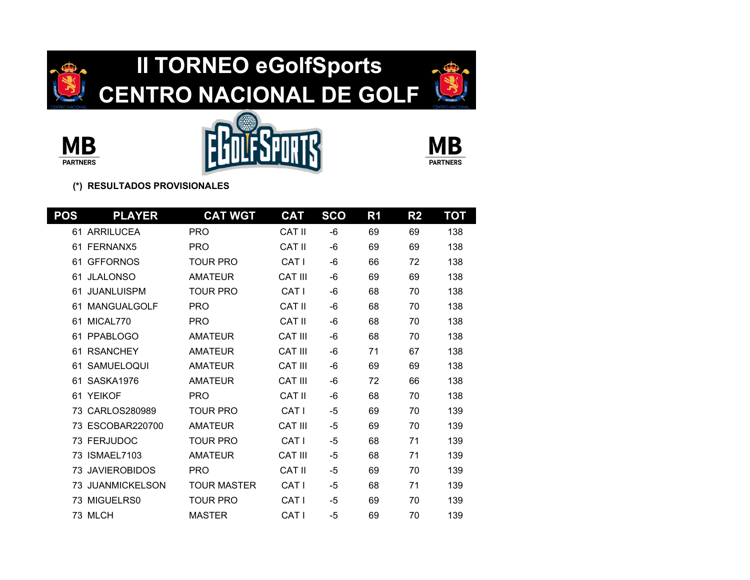









| <b>POS</b> | <b>PLAYER</b>        | <b>CAT WGT</b>     | <b>CAT</b>       | <b>SCO</b> | R1 | R <sub>2</sub> | TOT |
|------------|----------------------|--------------------|------------------|------------|----|----------------|-----|
|            | 61 ARRILUCEA         | <b>PRO</b>         | CAT II           | -6         | 69 | 69             | 138 |
| 61         | FERNANX5             | <b>PRO</b>         | CAT II           | -6         | 69 | 69             | 138 |
| 61         | <b>GFFORNOS</b>      | <b>TOUR PRO</b>    | CAT I            | -6         | 66 | 72             | 138 |
| 61         | <b>JLALONSO</b>      | <b>AMATEUR</b>     | <b>CAT III</b>   | -6         | 69 | 69             | 138 |
| 61         | <b>JUANLUISPM</b>    | <b>TOUR PRO</b>    | CAT I            | -6         | 68 | 70             | 138 |
| 61         | <b>MANGUALGOLF</b>   | <b>PRO</b>         | CAT II           | -6         | 68 | 70             | 138 |
| 61         | MICAL770             | <b>PRO</b>         | CAT II           | $-6$       | 68 | 70             | 138 |
| 61         | <b>PPABLOGO</b>      | <b>AMATEUR</b>     | <b>CAT III</b>   | -6         | 68 | 70             | 138 |
| 61         | <b>RSANCHEY</b>      | <b>AMATEUR</b>     | <b>CAT III</b>   | -6         | 71 | 67             | 138 |
| 61         | <b>SAMUELOQUI</b>    | <b>AMATEUR</b>     | <b>CAT III</b>   | -6         | 69 | 69             | 138 |
| 61         | SASKA1976            | <b>AMATEUR</b>     | <b>CAT III</b>   | -6         | 72 | 66             | 138 |
| 61         | <b>YEIKOF</b>        | <b>PRO</b>         | CAT II           | -6         | 68 | 70             | 138 |
| 73         | CARLOS280989         | <b>TOUR PRO</b>    | CAT <sub>I</sub> | $-5$       | 69 | 70             | 139 |
| 73         | ESCOBAR220700        | <b>AMATEUR</b>     | <b>CAT III</b>   | $-5$       | 69 | 70             | 139 |
|            | 73 FERJUDOC          | <b>TOUR PRO</b>    | CAT <sub>I</sub> | $-5$       | 68 | 71             | 139 |
| 73         | ISMAEL7103           | <b>AMATEUR</b>     | <b>CAT III</b>   | $-5$       | 68 | 71             | 139 |
| 73         | <b>JAVIEROBIDOS</b>  | <b>PRO</b>         | CAT II           | $-5$       | 69 | 70             | 139 |
| 73         | <b>JUANMICKELSON</b> | <b>TOUR MASTER</b> | CAT I            | $-5$       | 68 | 71             | 139 |
| 73         | MIGUELRS0            | <b>TOUR PRO</b>    | CAT I            | $-5$       | 69 | 70             | 139 |
|            | 73 MLCH              | <b>MASTER</b>      | CAT I            | $-5$       | 69 | 70             | 139 |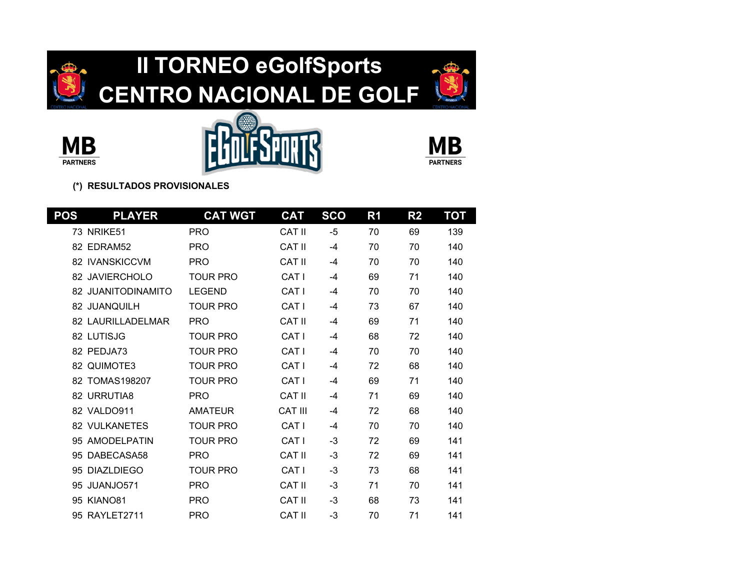









| POS | <b>PLAYER</b>         | <b>CAT WGT</b>  | <b>CAT</b>       | <b>SCO</b> | R <sub>1</sub> | R <sub>2</sub> | TOT |
|-----|-----------------------|-----------------|------------------|------------|----------------|----------------|-----|
|     | <b>73 NRIKE51</b>     | <b>PRO</b>      | CAT II           | $-5$       | 70             | 69             | 139 |
|     | 82 FDRAM52            | <b>PRO</b>      | CAT II           | $-4$       | 70             | 70             | 140 |
|     | <b>82 IVANSKICCVM</b> | <b>PRO</b>      | <b>CAT II</b>    | -4         | 70             | 70             | 140 |
|     | 82 JAVIERCHOLO        | TOUR PRO        | CAT I            | -4         | 69             | 71             | 140 |
|     | 82 JUANITODINAMITO    | <b>LEGEND</b>   | CAT I            | $-4$       | 70             | 70             | 140 |
|     | 82 JUANQUILH          | <b>TOUR PRO</b> | CAT I            | $-4$       | 73             | 67             | 140 |
|     | 82 LAURILLADELMAR     | <b>PRO</b>      | <b>CAT II</b>    | -4         | 69             | 71             | 140 |
|     | 82 LUTISJG            | TOUR PRO        | CAT I            | -4         | 68             | 72             | 140 |
|     | 82 PEDJA73            | TOUR PRO        | CAT I            | -4         | 70             | 70             | 140 |
|     | 82 QUIMOTE3           | <b>TOUR PRO</b> | CAT I            | $-4$       | 72             | 68             | 140 |
|     | 82 TOMAS198207        | <b>TOUR PRO</b> | CAT I            | $-4$       | 69             | 71             | 140 |
|     | 82 URRUTIA8           | <b>PRO</b>      | CAT II           | $-4$       | 71             | 69             | 140 |
|     | 82 VALDO911           | <b>AMATEUR</b>  | <b>CAT III</b>   | -4         | 72             | 68             | 140 |
|     | <b>82 VULKANETES</b>  | <b>TOUR PRO</b> | CAT I            | $-4$       | 70             | 70             | 140 |
|     | 95 AMODELPATIN        | <b>TOUR PRO</b> | CAT <sub>I</sub> | -3         | 72             | 69             | 141 |
| 95  | DABECASA58            | <b>PRO</b>      | <b>CAT II</b>    | -3         | 72             | 69             | 141 |
| 95  | DIAZL DIEGO           | <b>TOUR PRO</b> | CAT I            | -3         | 73             | 68             | 141 |
| 95  | JUANJO571             | <b>PRO</b>      | CAT II           | -3         | 71             | 70             | 141 |
|     | <b>95 KIANO81</b>     | <b>PRO</b>      | <b>CAT II</b>    | $-3$       | 68             | 73             | 141 |
|     | 95 RAYLET2711         | <b>PRO</b>      | <b>CAT II</b>    | $-3$       | 70             | 71             | 141 |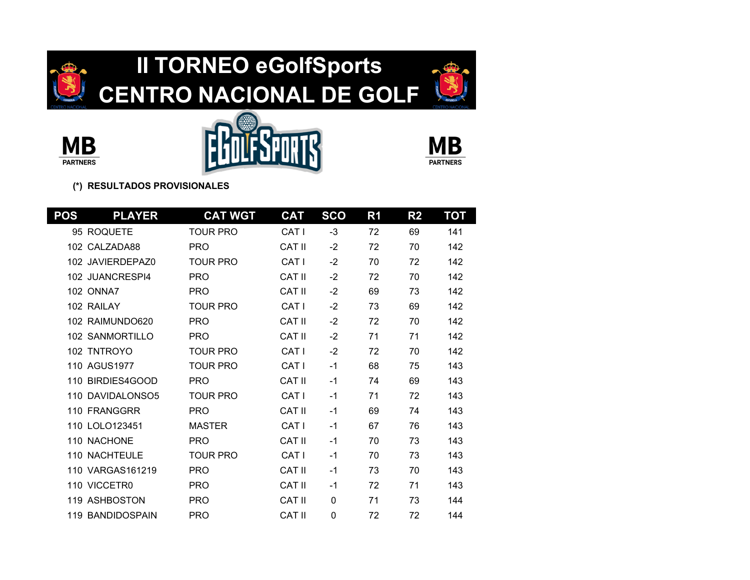









| POS  | <b>PLAYER</b>          | <b>CAT WGT</b>  | <b>CAT</b>       | <b>SCO</b> | R <sub>1</sub> | R <sub>2</sub> | TOT |
|------|------------------------|-----------------|------------------|------------|----------------|----------------|-----|
|      | 95 ROQUETE             | <b>TOUR PRO</b> | CAT I            | $-3$       | 72             | 69             | 141 |
| 102. | CALZADA88              | <b>PRO</b>      | <b>CAT II</b>    | $-2$       | 72             | 70             | 142 |
|      | 102 JAVIERDEPAZ0       | <b>TOUR PRO</b> | CAT I            | $-2$       | 70             | 72             | 142 |
|      | 102 JUANCRESPI4        | <b>PRO</b>      | <b>CAT II</b>    | $-2$       | 72             | 70             | 142 |
|      | <b>102 ONNA7</b>       | <b>PRO</b>      | <b>CAT II</b>    | $-2$       | 69             | 73             | 142 |
|      | 102 RAILAY             | <b>TOUR PRO</b> | CAT I            | $-2$       | 73             | 69             | 142 |
|      | 102 RAIMUNDO620        | <b>PRO</b>      | CAT II           | $-2$       | 72             | 70             | 142 |
|      | <b>102 SANMORTILLO</b> | <b>PRO</b>      | <b>CAT II</b>    | $-2$       | 71             | 71             | 142 |
|      | 102 TNTROYO            | <b>TOUR PRO</b> | CAT I            | $-2$       | 72             | 70             | 142 |
|      | 110 AGUS1977           | <b>TOUR PRO</b> | CAT I            | $-1$       | 68             | 75             | 143 |
|      | 110 BIRDIES4GOOD       | <b>PRO</b>      | CAT II           | $-1$       | 74             | 69             | 143 |
| 110  | DAVIDAL ONSO5          | <b>TOUR PRO</b> | CAT I            | $-1$       | 71             | 72             | 143 |
|      | 110 FRANGGRR           | <b>PRO</b>      | <b>CAT II</b>    | $-1$       | 69             | 74             | 143 |
|      | 110 LOLO123451         | <b>MASTER</b>   | CAT I            | $-1$       | 67             | 76             | 143 |
|      | 110 NACHONE            | <b>PRO</b>      | CAT II           | $-1$       | 70             | 73             | 143 |
|      | <b>110 NACHTEULE</b>   | <b>TOUR PRO</b> | CAT <sub>I</sub> | $-1$       | 70             | 73             | 143 |
|      | 110 VARGAS161219       | <b>PRO</b>      | CAT II           | $-1$       | 73             | 70             | 143 |
|      | 110 VICCETR0           | <b>PRO</b>      | CAT II           | $-1$       | 72             | 71             | 143 |
|      | 119 ASHBOSTON          | <b>PRO</b>      | <b>CAT II</b>    | 0          | 71             | 73             | 144 |
|      | 119 BANDIDOSPAIN       | <b>PRO</b>      | <b>CAT II</b>    | 0          | 72             | 72             | 144 |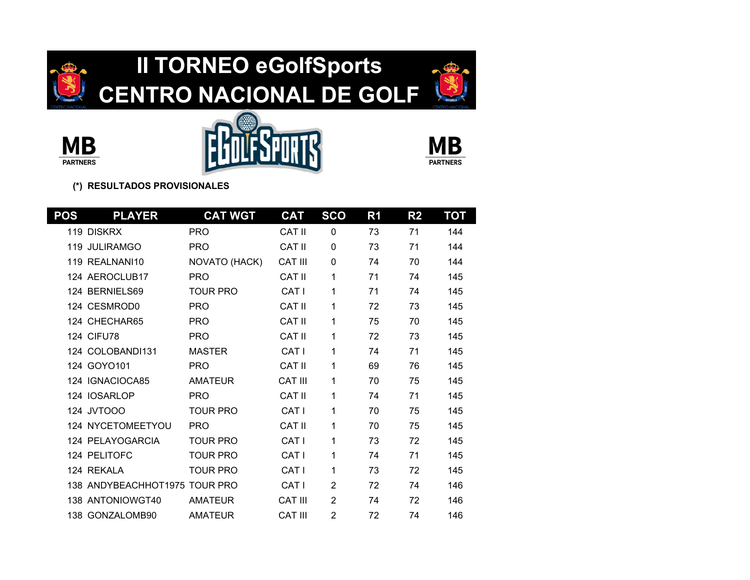









| <u>POS</u> | <b>PLAYER</b>                 | <b>CAT WGT</b>  | <b>CAT</b>     | <b>SCO</b>     | R1 | R <sub>2</sub> | ТОТ |
|------------|-------------------------------|-----------------|----------------|----------------|----|----------------|-----|
|            | 119 DISKRX                    | <b>PRO</b>      | CAT II         | $\mathbf 0$    | 73 | 71             | 144 |
| 119        | <b>JULIRAMGO</b>              | <b>PRO</b>      | <b>CAT II</b>  | 0              | 73 | 71             | 144 |
|            | 119 REALNANI10                | NOVATO (HACK)   | <b>CAT III</b> | $\Omega$       | 74 | 70             | 144 |
|            | 124 AEROCLUB17                | <b>PRO</b>      | CAT II         | 1              | 71 | 74             | 145 |
|            | 124 BERNIELS69                | <b>TOUR PRO</b> | CAT I          | 1              | 71 | 74             | 145 |
|            | 124 CESMROD0                  | <b>PRO</b>      | <b>CAT II</b>  | 1              | 72 | 73             | 145 |
|            | 124 CHECHAR65                 | <b>PRO</b>      | CAT II         | 1              | 75 | 70             | 145 |
|            | <b>124 CIFU78</b>             | <b>PRO</b>      | CAT II         | 1              | 72 | 73             | 145 |
|            | 124 COLOBANDI131              | <b>MASTER</b>   | CAT I          | 1              | 74 | 71             | 145 |
|            | 124 GOYO101                   | <b>PRO</b>      | CAT II         | 1              | 69 | 76             | 145 |
|            | 124 IGNACIOCA85               | <b>AMATEUR</b>  | <b>CAT III</b> | 1              | 70 | 75             | 145 |
|            | 124 IOSARLOP                  | <b>PRO</b>      | CAT II         | 1              | 74 | 71             | 145 |
|            | 124 JVTOOO                    | <b>TOUR PRO</b> | CAT I          | 1              | 70 | 75             | 145 |
|            | 124 NYCETOMEETYOU             | <b>PRO</b>      | <b>CAT II</b>  | 1              | 70 | 75             | 145 |
|            | 124 PELAYOGARCIA              | <b>TOUR PRO</b> | CAT I          | 1              | 73 | 72             | 145 |
|            | 124 PELITOFC                  | <b>TOUR PRO</b> | CAT I          | 1              | 74 | 71             | 145 |
|            | 124 REKALA                    | <b>TOUR PRO</b> | CAT I          | 1              | 73 | 72             | 145 |
|            | 138 ANDYBEACHHOT1975 TOUR PRO |                 | CAT I          | 2              | 72 | 74             | 146 |
|            | 138 ANTONIOWGT40              | <b>AMATEUR</b>  | <b>CAT III</b> | $\overline{2}$ | 74 | 72             | 146 |
|            | 138 GONZALOMB90               | <b>AMATEUR</b>  | <b>CAT III</b> | $\overline{2}$ | 72 | 74             | 146 |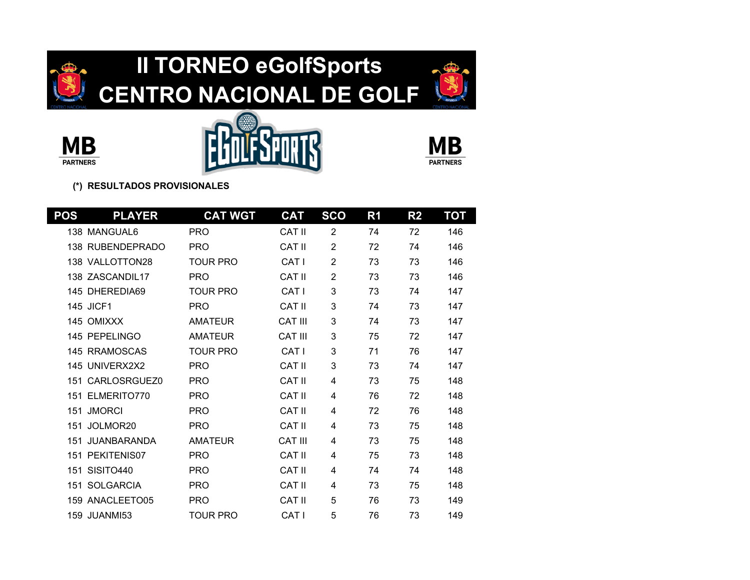









| POS | <b>PLAYER</b>        | <b>CAT WGT</b>  | <b>CAT</b>     | <b>SCO</b>     | R <sub>1</sub> | R <sub>2</sub> | TOT |
|-----|----------------------|-----------------|----------------|----------------|----------------|----------------|-----|
|     | 138 MANGUAL6         | <b>PRO</b>      | CAT II         | 2              | 74             | 72             | 146 |
|     | 138 RUBENDEPRADO     | <b>PRO</b>      | <b>CAT II</b>  | $\overline{2}$ | 72             | 74             | 146 |
|     | 138 VALLOTTON28      | <b>TOUR PRO</b> | CAT I          | $\overline{2}$ | 73             | 73             | 146 |
|     | 138 ZASCANDIL17      | <b>PRO</b>      | CAT II         | $\overline{2}$ | 73             | 73             | 146 |
|     | 145 DHEREDIA69       | <b>TOUR PRO</b> | CAT I          | 3              | 73             | 74             | 147 |
|     | <b>145 JICF1</b>     | <b>PRO</b>      | CAT II         | 3              | 74             | 73             | 147 |
|     | 145 OMIXXX           | <b>AMATEUR</b>  | <b>CAT III</b> | 3              | 74             | 73             | 147 |
|     | 145 PEPELINGO        | <b>AMATEUR</b>  | <b>CAT III</b> | 3              | 75             | 72             | 147 |
|     | 145 RRAMOSCAS        | <b>TOUR PRO</b> | CAT I          | 3              | 71             | 76             | 147 |
|     | 145 UNIVERX2X2       | <b>PRO</b>      | <b>CAT II</b>  | 3              | 73             | 74             | 147 |
|     | 151 CARLOSRGUEZ0     | <b>PRO</b>      | CAT II         | 4              | 73             | 75             | 148 |
| 151 | ELMERITO770          | <b>PRO</b>      | CAT II         | 4              | 76             | 72             | 148 |
| 151 | <b>JMORCI</b>        | <b>PRO</b>      | CAT II         | 4              | 72             | 76             | 148 |
| 151 | JOLMOR <sub>20</sub> | <b>PRO</b>      | CAT II         | 4              | 73             | 75             | 148 |
| 151 | <b>JUANBARANDA</b>   | <b>AMATEUR</b>  | <b>CAT III</b> | 4              | 73             | 75             | 148 |
| 151 | PEKITENIS07          | <b>PRO</b>      | CAT II         | 4              | 75             | 73             | 148 |
| 151 | SISITO440            | <b>PRO</b>      | CAT II         | 4              | 74             | 74             | 148 |
|     | 151 SOLGARCIA        | <b>PRO</b>      | CAT II         | 4              | 73             | 75             | 148 |
|     | 159 ANACLEETO05      | <b>PRO</b>      | CAT II         | 5              | 76             | 73             | 149 |
|     | <b>159 JUANMI53</b>  | <b>TOUR PRO</b> | CAT I          | 5              | 76             | 73             | 149 |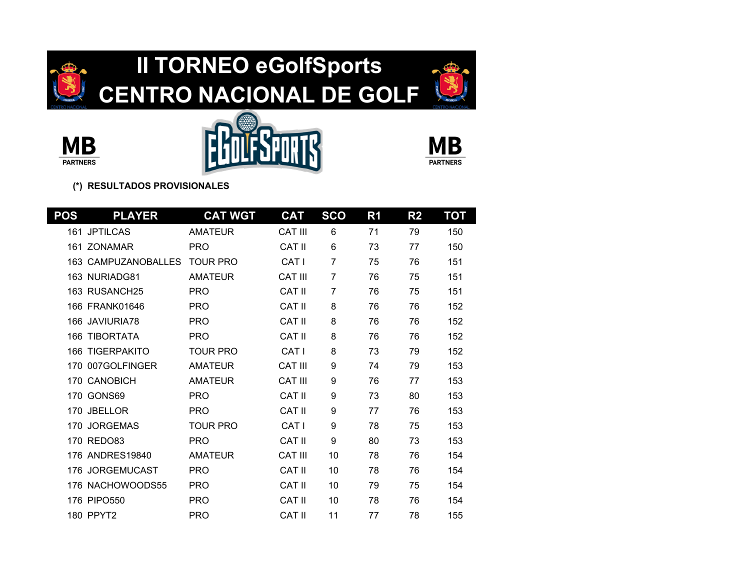









| <b>POS</b> | <b>PLAYER</b>          | <b>CAT WGT</b>  | <b>CAT</b>     | <b>SCO</b>     | R <sub>1</sub> | R <sub>2</sub> | ТОТ |
|------------|------------------------|-----------------|----------------|----------------|----------------|----------------|-----|
| 161        | <b>JPTILCAS</b>        | <b>AMATEUR</b>  | <b>CAT III</b> | 6              | 71             | 79             | 150 |
| 161        | <b>ZONAMAR</b>         | <b>PRO</b>      | CAT II         | 6              | 73             | 77             | 150 |
| 163.       | <b>CAMPUZANOBALLES</b> | <b>TOUR PRO</b> | CAT I          | $\overline{7}$ | 75             | 76             | 151 |
|            | 163 NURIADG81          | <b>AMATEUR</b>  | <b>CAT III</b> | 7              | 76             | 75             | 151 |
|            | 163 RUSANCH25          | <b>PRO</b>      | CAT II         | 7              | 76             | 75             | 151 |
|            | 166 FRANK01646         | <b>PRO</b>      | <b>CAT II</b>  | 8              | 76             | 76             | 152 |
|            | 166 JAVIURIA78         | <b>PRO</b>      | CAT II         | 8              | 76             | 76             | 152 |
| 166        | <b>TIBORTATA</b>       | <b>PRO</b>      | <b>CAT II</b>  | 8              | 76             | 76             | 152 |
| 166        | <b>TIGERPAKITO</b>     | <b>TOUR PRO</b> | CAT I          | 8              | 73             | 79             | 152 |
| 170        | 007GOLFINGER           | <b>AMATEUR</b>  | <b>CAT III</b> | 9              | 74             | 79             | 153 |
|            | 170 CANOBICH           | <b>AMATEUR</b>  | <b>CAT III</b> | 9              | 76             | 77             | 153 |
| 170        | GONS69                 | <b>PRO</b>      | <b>CAT II</b>  | 9              | 73             | 80             | 153 |
| 170        | <b>JBELLOR</b>         | <b>PRO</b>      | CAT II         | 9              | 77             | 76             | 153 |
| 170        | <b>JORGEMAS</b>        | <b>TOUR PRO</b> | CAT I          | 9              | 78             | 75             | 153 |
|            | 170 REDO83             | <b>PRO</b>      | <b>CAT II</b>  | 9              | 80             | 73             | 153 |
|            | 176 ANDRES19840        | <b>AMATEUR</b>  | <b>CAT III</b> | 10             | 78             | 76             | 154 |
| 176        | <b>JORGEMUCAST</b>     | <b>PRO</b>      | CAT II         | 10             | 78             | 76             | 154 |
|            | 176 NACHOWOODS55       | <b>PRO</b>      | CAT II         | 10             | 79             | 75             | 154 |
|            | 176 PIPO550            | <b>PRO</b>      | <b>CAT II</b>  | 10             | 78             | 76             | 154 |
|            | 180 PPYT2              | <b>PRO</b>      | <b>CAT II</b>  | 11             | 77             | 78             | 155 |